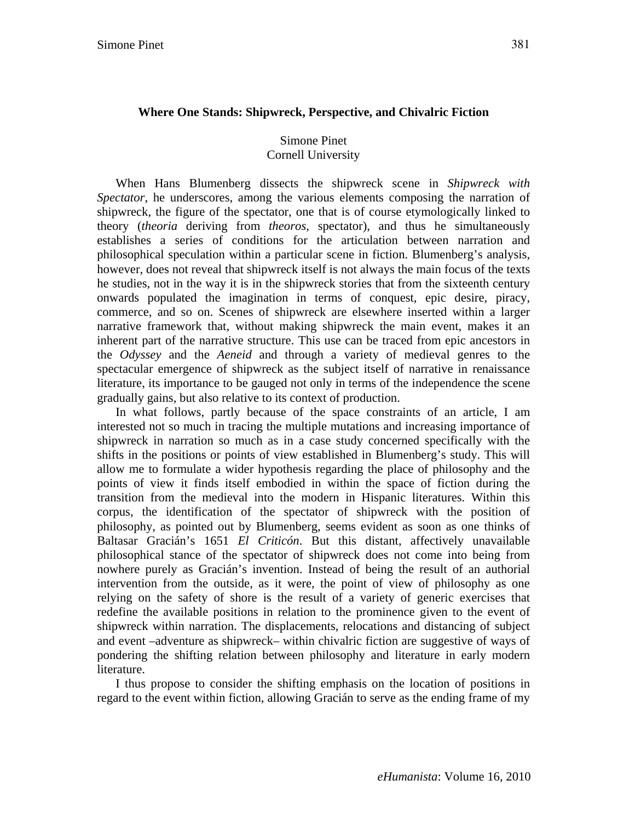# **Where One Stands: Shipwreck, Perspective, and Chivalric Fiction**

## Simone Pinet Cornell University

When Hans Blumenberg dissects the shipwreck scene in *Shipwreck with Spectator*, he underscores, among the various elements composing the narration of shipwreck, the figure of the spectator, one that is of course etymologically linked to theory (*theoria* deriving from *theoros*, spectator), and thus he simultaneously establishes a series of conditions for the articulation between narration and philosophical speculation within a particular scene in fiction. Blumenberg's analysis, however, does not reveal that shipwreck itself is not always the main focus of the texts he studies, not in the way it is in the shipwreck stories that from the sixteenth century onwards populated the imagination in terms of conquest, epic desire, piracy, commerce, and so on. Scenes of shipwreck are elsewhere inserted within a larger narrative framework that, without making shipwreck the main event, makes it an inherent part of the narrative structure. This use can be traced from epic ancestors in the *Odyssey* and the *Aeneid* and through a variety of medieval genres to the spectacular emergence of shipwreck as the subject itself of narrative in renaissance literature, its importance to be gauged not only in terms of the independence the scene gradually gains, but also relative to its context of production.

In what follows, partly because of the space constraints of an article, I am interested not so much in tracing the multiple mutations and increasing importance of shipwreck in narration so much as in a case study concerned specifically with the shifts in the positions or points of view established in Blumenberg's study. This will allow me to formulate a wider hypothesis regarding the place of philosophy and the points of view it finds itself embodied in within the space of fiction during the transition from the medieval into the modern in Hispanic literatures. Within this corpus, the identification of the spectator of shipwreck with the position of philosophy, as pointed out by Blumenberg, seems evident as soon as one thinks of Baltasar Gracián's 1651 *El Criticón*. But this distant, affectively unavailable philosophical stance of the spectator of shipwreck does not come into being from nowhere purely as Gracián's invention. Instead of being the result of an authorial intervention from the outside, as it were, the point of view of philosophy as one relying on the safety of shore is the result of a variety of generic exercises that redefine the available positions in relation to the prominence given to the event of shipwreck within narration. The displacements, relocations and distancing of subject and event –adventure as shipwreck– within chivalric fiction are suggestive of ways of pondering the shifting relation between philosophy and literature in early modern literature.

I thus propose to consider the shifting emphasis on the location of positions in regard to the event within fiction, allowing Gracián to serve as the ending frame of my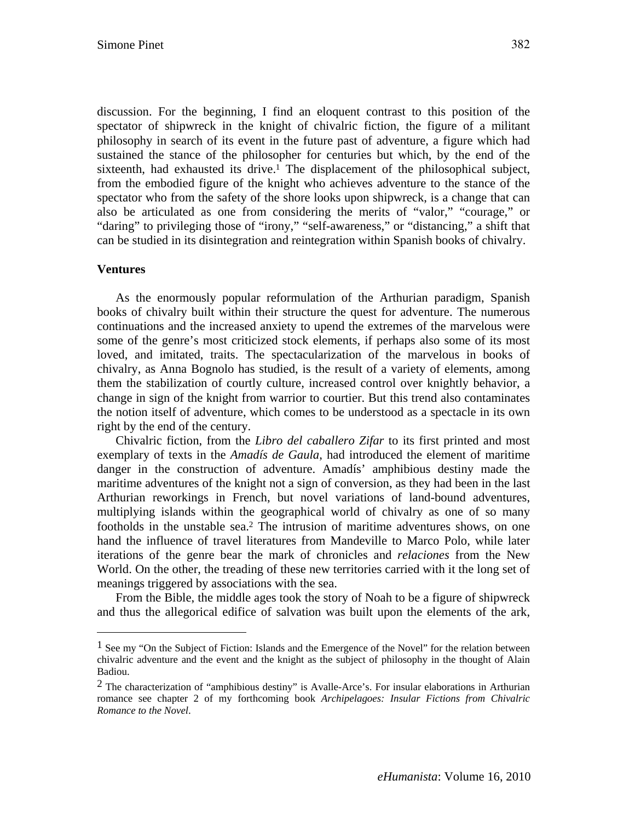discussion. For the beginning, I find an eloquent contrast to this position of the spectator of shipwreck in the knight of chivalric fiction, the figure of a militant philosophy in search of its event in the future past of adventure, a figure which had sustained the stance of the philosopher for centuries but which, by the end of the sixteenth, had exhausted its drive.<sup>1</sup> The displacement of the philosophical subject, from the embodied figure of the knight who achieves adventure to the stance of the spectator who from the safety of the shore looks upon shipwreck, is a change that can also be articulated as one from considering the merits of "valor," "courage," or "daring" to privileging those of "irony," "self-awareness," or "distancing," a shift that can be studied in its disintegration and reintegration within Spanish books of chivalry.

### **Ventures**

 $\overline{a}$ 

As the enormously popular reformulation of the Arthurian paradigm, Spanish books of chivalry built within their structure the quest for adventure. The numerous continuations and the increased anxiety to upend the extremes of the marvelous were some of the genre's most criticized stock elements, if perhaps also some of its most loved, and imitated, traits. The spectacularization of the marvelous in books of chivalry, as Anna Bognolo has studied, is the result of a variety of elements, among them the stabilization of courtly culture, increased control over knightly behavior, a change in sign of the knight from warrior to courtier. But this trend also contaminates the notion itself of adventure, which comes to be understood as a spectacle in its own right by the end of the century.

Chivalric fiction, from the *Libro del caballero Zifar* to its first printed and most exemplary of texts in the *Amadís de Gaula*, had introduced the element of maritime danger in the construction of adventure. Amadís' amphibious destiny made the maritime adventures of the knight not a sign of conversion, as they had been in the last Arthurian reworkings in French, but novel variations of land-bound adventures, multiplying islands within the geographical world of chivalry as one of so many footholds in the unstable sea.2 The intrusion of maritime adventures shows, on one hand the influence of travel literatures from Mandeville to Marco Polo, while later iterations of the genre bear the mark of chronicles and *relaciones* from the New World. On the other, the treading of these new territories carried with it the long set of meanings triggered by associations with the sea.

From the Bible, the middle ages took the story of Noah to be a figure of shipwreck and thus the allegorical edifice of salvation was built upon the elements of the ark,

 $<sup>1</sup>$  See my "On the Subject of Fiction: Islands and the Emergence of the Novel" for the relation between</sup> chivalric adventure and the event and the knight as the subject of philosophy in the thought of Alain Badiou.

 $<sup>2</sup>$  The characterization of "amphibious destiny" is Avalle-Arce's. For insular elaborations in Arthurian</sup> romance see chapter 2 of my forthcoming book *Archipelagoes: Insular Fictions from Chivalric Romance to the Novel*.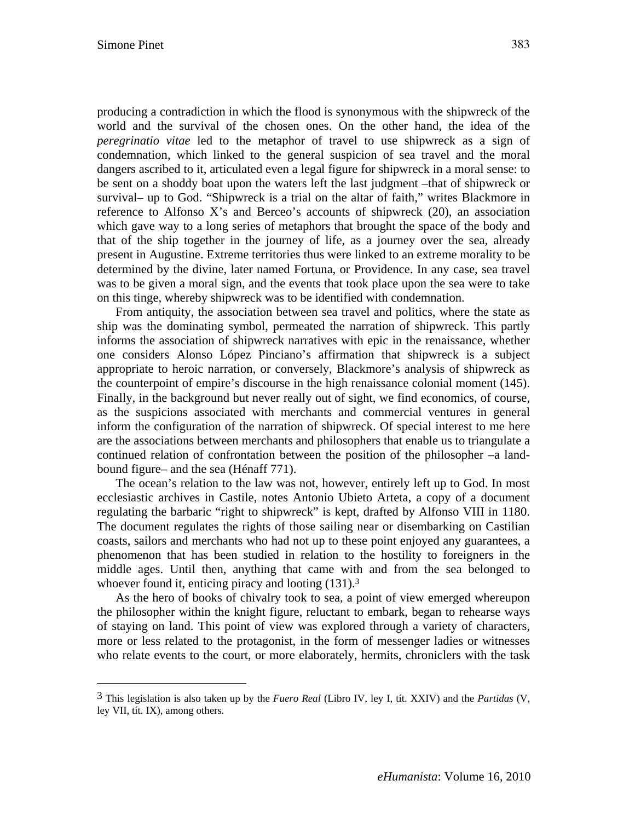$\overline{a}$ 

producing a contradiction in which the flood is synonymous with the shipwreck of the world and the survival of the chosen ones. On the other hand, the idea of the *peregrinatio vitae* led to the metaphor of travel to use shipwreck as a sign of condemnation, which linked to the general suspicion of sea travel and the moral dangers ascribed to it, articulated even a legal figure for shipwreck in a moral sense: to be sent on a shoddy boat upon the waters left the last judgment –that of shipwreck or survival– up to God. "Shipwreck is a trial on the altar of faith," writes Blackmore in reference to Alfonso X's and Berceo's accounts of shipwreck (20), an association which gave way to a long series of metaphors that brought the space of the body and that of the ship together in the journey of life, as a journey over the sea, already present in Augustine. Extreme territories thus were linked to an extreme morality to be determined by the divine, later named Fortuna, or Providence. In any case, sea travel was to be given a moral sign, and the events that took place upon the sea were to take on this tinge, whereby shipwreck was to be identified with condemnation.

From antiquity, the association between sea travel and politics, where the state as ship was the dominating symbol, permeated the narration of shipwreck. This partly informs the association of shipwreck narratives with epic in the renaissance, whether one considers Alonso López Pinciano's affirmation that shipwreck is a subject appropriate to heroic narration, or conversely, Blackmore's analysis of shipwreck as the counterpoint of empire's discourse in the high renaissance colonial moment (145). Finally, in the background but never really out of sight, we find economics, of course, as the suspicions associated with merchants and commercial ventures in general inform the configuration of the narration of shipwreck. Of special interest to me here are the associations between merchants and philosophers that enable us to triangulate a continued relation of confrontation between the position of the philosopher –a landbound figure– and the sea (Hénaff 771).

The ocean's relation to the law was not, however, entirely left up to God. In most ecclesiastic archives in Castile, notes Antonio Ubieto Arteta, a copy of a document regulating the barbaric "right to shipwreck" is kept, drafted by Alfonso VIII in 1180. The document regulates the rights of those sailing near or disembarking on Castilian coasts, sailors and merchants who had not up to these point enjoyed any guarantees, a phenomenon that has been studied in relation to the hostility to foreigners in the middle ages. Until then, anything that came with and from the sea belonged to whoever found it, enticing piracy and looting  $(131).<sup>3</sup>$ 

As the hero of books of chivalry took to sea, a point of view emerged whereupon the philosopher within the knight figure, reluctant to embark, began to rehearse ways of staying on land. This point of view was explored through a variety of characters, more or less related to the protagonist, in the form of messenger ladies or witnesses who relate events to the court, or more elaborately, hermits, chroniclers with the task

<sup>3</sup> This legislation is also taken up by the *Fuero Real* (Libro IV, ley I, tít. XXIV) and the *Partidas* (V, ley VII, tít. IX), among others.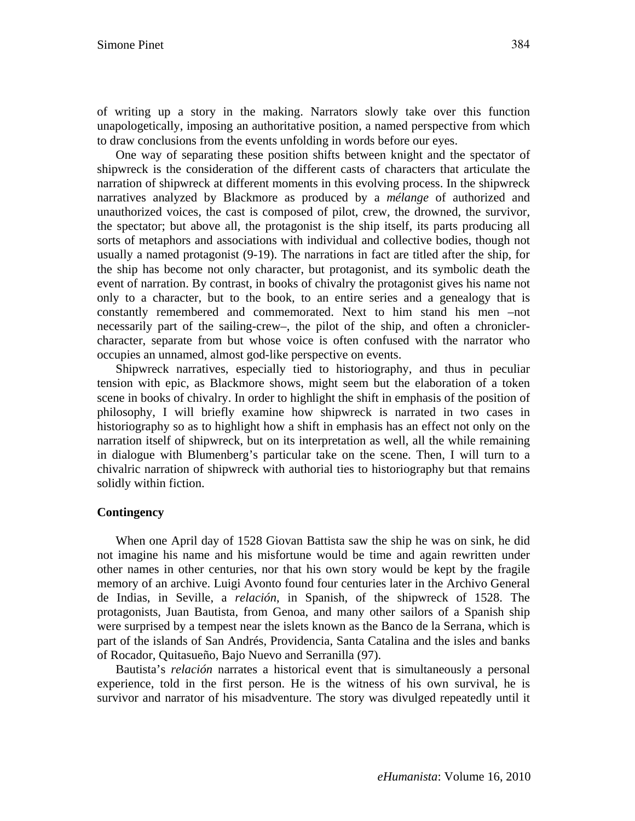of writing up a story in the making. Narrators slowly take over this function unapologetically, imposing an authoritative position, a named perspective from which to draw conclusions from the events unfolding in words before our eyes.

One way of separating these position shifts between knight and the spectator of shipwreck is the consideration of the different casts of characters that articulate the narration of shipwreck at different moments in this evolving process. In the shipwreck narratives analyzed by Blackmore as produced by a *mélange* of authorized and unauthorized voices, the cast is composed of pilot, crew, the drowned, the survivor, the spectator; but above all, the protagonist is the ship itself, its parts producing all sorts of metaphors and associations with individual and collective bodies, though not usually a named protagonist (9-19). The narrations in fact are titled after the ship, for the ship has become not only character, but protagonist, and its symbolic death the event of narration. By contrast, in books of chivalry the protagonist gives his name not only to a character, but to the book, to an entire series and a genealogy that is constantly remembered and commemorated. Next to him stand his men –not necessarily part of the sailing-crew–, the pilot of the ship, and often a chroniclercharacter, separate from but whose voice is often confused with the narrator who occupies an unnamed, almost god-like perspective on events.

Shipwreck narratives, especially tied to historiography, and thus in peculiar tension with epic, as Blackmore shows, might seem but the elaboration of a token scene in books of chivalry. In order to highlight the shift in emphasis of the position of philosophy, I will briefly examine how shipwreck is narrated in two cases in historiography so as to highlight how a shift in emphasis has an effect not only on the narration itself of shipwreck, but on its interpretation as well, all the while remaining in dialogue with Blumenberg's particular take on the scene. Then, I will turn to a chivalric narration of shipwreck with authorial ties to historiography but that remains solidly within fiction.

## **Contingency**

When one April day of 1528 Giovan Battista saw the ship he was on sink, he did not imagine his name and his misfortune would be time and again rewritten under other names in other centuries, nor that his own story would be kept by the fragile memory of an archive. Luigi Avonto found four centuries later in the Archivo General de Indias, in Seville, a *relación*, in Spanish, of the shipwreck of 1528. The protagonists, Juan Bautista, from Genoa, and many other sailors of a Spanish ship were surprised by a tempest near the islets known as the Banco de la Serrana, which is part of the islands of San Andrés, Providencia, Santa Catalina and the isles and banks of Rocador, Quitasueño, Bajo Nuevo and Serranilla (97).

Bautista's *relación* narrates a historical event that is simultaneously a personal experience, told in the first person. He is the witness of his own survival, he is survivor and narrator of his misadventure. The story was divulged repeatedly until it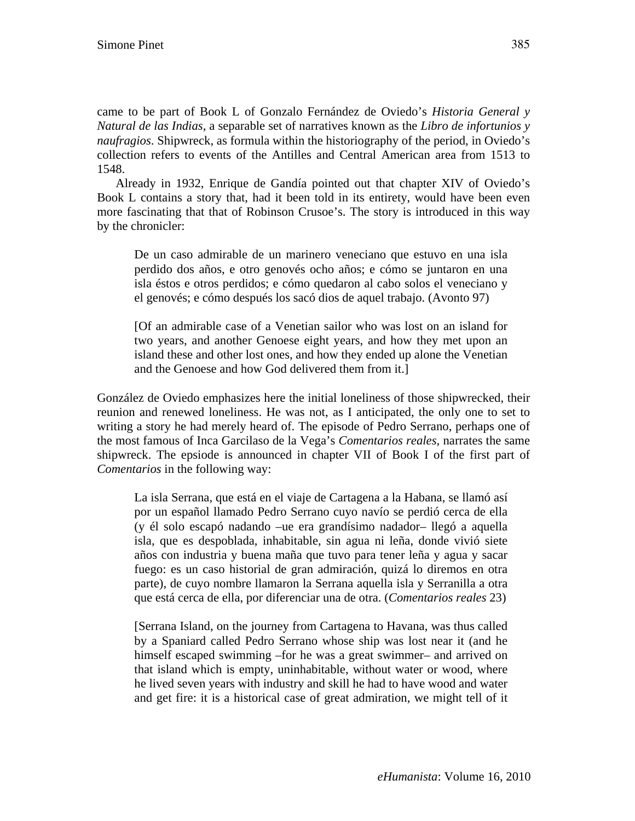came to be part of Book L of Gonzalo Fernández de Oviedo's *Historia General y Natural de las Indias*, a separable set of narratives known as the *Libro de infortunios y naufragios*. Shipwreck, as formula within the historiography of the period, in Oviedo's collection refers to events of the Antilles and Central American area from 1513 to 1548.

Already in 1932, Enrique de Gandía pointed out that chapter XIV of Oviedo's Book L contains a story that, had it been told in its entirety, would have been even more fascinating that that of Robinson Crusoe's. The story is introduced in this way by the chronicler:

De un caso admirable de un marinero veneciano que estuvo en una isla perdido dos años, e otro genovés ocho años; e cómo se juntaron en una isla éstos e otros perdidos; e cómo quedaron al cabo solos el veneciano y el genovés; e cómo después los sacó dios de aquel trabajo. (Avonto 97)

[Of an admirable case of a Venetian sailor who was lost on an island for two years, and another Genoese eight years, and how they met upon an island these and other lost ones, and how they ended up alone the Venetian and the Genoese and how God delivered them from it.]

González de Oviedo emphasizes here the initial loneliness of those shipwrecked, their reunion and renewed loneliness. He was not, as I anticipated, the only one to set to writing a story he had merely heard of. The episode of Pedro Serrano, perhaps one of the most famous of Inca Garcilaso de la Vega's *Comentarios reales*, narrates the same shipwreck. The epsiode is announced in chapter VII of Book I of the first part of *Comentarios* in the following way:

La isla Serrana, que está en el viaje de Cartagena a la Habana, se llamó así por un español llamado Pedro Serrano cuyo navío se perdió cerca de ella (y él solo escapó nadando –ue era grandísimo nadador– llegó a aquella isla, que es despoblada, inhabitable, sin agua ni leña, donde vivió siete años con industria y buena maña que tuvo para tener leña y agua y sacar fuego: es un caso historial de gran admiración, quizá lo diremos en otra parte), de cuyo nombre llamaron la Serrana aquella isla y Serranilla a otra que está cerca de ella, por diferenciar una de otra. (*Comentarios reales* 23)

[Serrana Island, on the journey from Cartagena to Havana, was thus called by a Spaniard called Pedro Serrano whose ship was lost near it (and he himself escaped swimming –for he was a great swimmer– and arrived on that island which is empty, uninhabitable, without water or wood, where he lived seven years with industry and skill he had to have wood and water and get fire: it is a historical case of great admiration, we might tell of it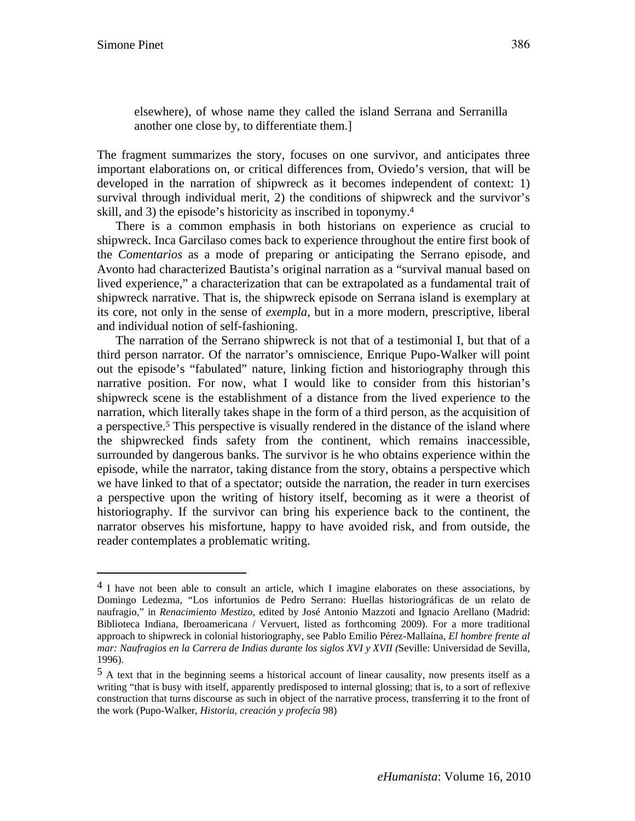$\overline{a}$ 

elsewhere), of whose name they called the island Serrana and Serranilla another one close by, to differentiate them.]

The fragment summarizes the story, focuses on one survivor, and anticipates three important elaborations on, or critical differences from, Oviedo's version, that will be developed in the narration of shipwreck as it becomes independent of context: 1) survival through individual merit, 2) the conditions of shipwreck and the survivor's skill, and 3) the episode's historicity as inscribed in toponymy.4

There is a common emphasis in both historians on experience as crucial to shipwreck. Inca Garcilaso comes back to experience throughout the entire first book of the *Comentarios* as a mode of preparing or anticipating the Serrano episode, and Avonto had characterized Bautista's original narration as a "survival manual based on lived experience," a characterization that can be extrapolated as a fundamental trait of shipwreck narrative. That is, the shipwreck episode on Serrana island is exemplary at its core, not only in the sense of *exempla*, but in a more modern, prescriptive, liberal and individual notion of self-fashioning.

The narration of the Serrano shipwreck is not that of a testimonial I, but that of a third person narrator. Of the narrator's omniscience, Enrique Pupo-Walker will point out the episode's "fabulated" nature, linking fiction and historiography through this narrative position. For now, what I would like to consider from this historian's shipwreck scene is the establishment of a distance from the lived experience to the narration, which literally takes shape in the form of a third person, as the acquisition of a perspective.5 This perspective is visually rendered in the distance of the island where the shipwrecked finds safety from the continent, which remains inaccessible, surrounded by dangerous banks. The survivor is he who obtains experience within the episode, while the narrator, taking distance from the story, obtains a perspective which we have linked to that of a spectator; outside the narration, the reader in turn exercises a perspective upon the writing of history itself, becoming as it were a theorist of historiography. If the survivor can bring his experience back to the continent, the narrator observes his misfortune, happy to have avoided risk, and from outside, the reader contemplates a problematic writing.

 $4$  I have not been able to consult an article, which I imagine elaborates on these associations, by Domingo Ledezma, "Los infortunios de Pedro Serrano: Huellas historiográficas de un relato de naufragio," in *Renacimiento Mestizo*, edited by José Antonio Mazzoti and Ignacio Arellano (Madrid: Biblioteca Indiana, Iberoamericana / Vervuert, listed as forthcoming 2009). For a more traditional approach to shipwreck in colonial historiography, see Pablo Emilio Pérez-Mallaína, *El hombre frente al mar: Naufragios en la Carrera de Indias durante los siglos XVI y XVII (*Seville: Universidad de Sevilla, 1996).

 $<sup>5</sup>$  A text that in the beginning seems a historical account of linear causality, now presents itself as a</sup> writing "that is busy with itself, apparently predisposed to internal glossing; that is, to a sort of reflexive construction that turns discourse as such in object of the narrative process, transferring it to the front of the work (Pupo-Walker, *Historia, creación y profecía* 98)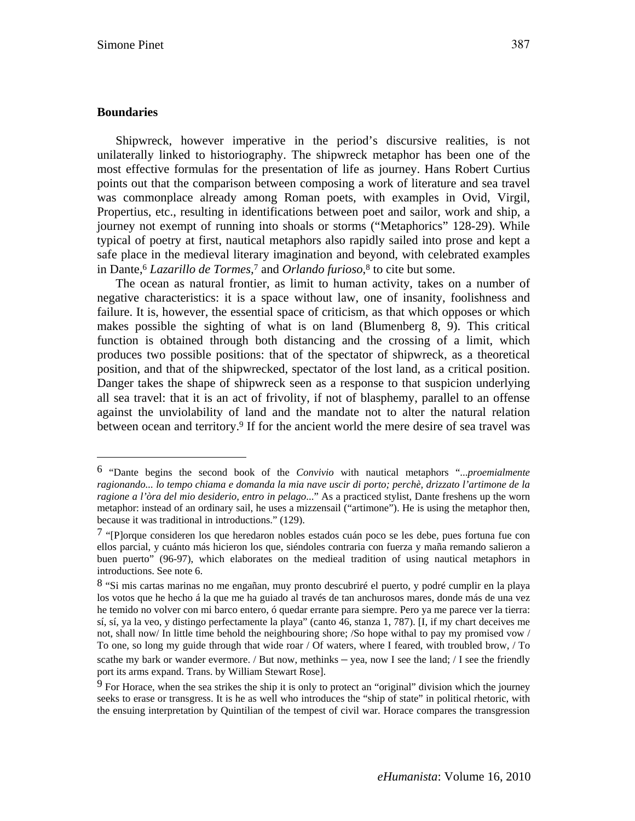#### **Boundaries**

 $\overline{a}$ 

Shipwreck, however imperative in the period's discursive realities, is not unilaterally linked to historiography. The shipwreck metaphor has been one of the most effective formulas for the presentation of life as journey. Hans Robert Curtius points out that the comparison between composing a work of literature and sea travel was commonplace already among Roman poets, with examples in Ovid, Virgil, Propertius, etc., resulting in identifications between poet and sailor, work and ship, a journey not exempt of running into shoals or storms ("Metaphorics" 128-29). While typical of poetry at first, nautical metaphors also rapidly sailed into prose and kept a safe place in the medieval literary imagination and beyond, with celebrated examples in Dante,6 *Lazarillo de Tormes,*7 and *Orlando furioso*,8 to cite but some.

The ocean as natural frontier, as limit to human activity, takes on a number of negative characteristics: it is a space without law, one of insanity, foolishness and failure. It is, however, the essential space of criticism, as that which opposes or which makes possible the sighting of what is on land (Blumenberg 8, 9). This critical function is obtained through both distancing and the crossing of a limit, which produces two possible positions: that of the spectator of shipwreck, as a theoretical position, and that of the shipwrecked, spectator of the lost land, as a critical position. Danger takes the shape of shipwreck seen as a response to that suspicion underlying all sea travel: that it is an act of frivolity, if not of blasphemy, parallel to an offense against the unviolability of land and the mandate not to alter the natural relation between ocean and territory.<sup>9</sup> If for the ancient world the mere desire of sea travel was

<sup>6 &</sup>quot;Dante begins the second book of the *Convivio* with nautical metaphors "...*proemialmente ragionando... lo tempo chiama e domanda la mia nave uscir di porto; perchè, drizzato l'artimone de la ragione a l'òra del mio desiderio, entro in pelago*..." As a practiced stylist, Dante freshens up the worn metaphor: instead of an ordinary sail, he uses a mizzensail ("artimone"). He is using the metaphor then, because it was traditional in introductions." (129).

<sup>7 &</sup>quot;[P]orque consideren los que heredaron nobles estados cuán poco se les debe, pues fortuna fue con ellos parcial, y cuánto más hicieron los que, siéndoles contraria con fuerza y maña remando salieron a buen puerto" (96-97), which elaborates on the medieal tradition of using nautical metaphors in introductions. See note 6.

<sup>8 &</sup>quot;Si mis cartas marinas no me engañan, muy pronto descubriré el puerto, y podré cumplir en la playa los votos que he hecho á la que me ha guiado al través de tan anchurosos mares, donde más de una vez he temido no volver con mi barco entero, ó quedar errante para siempre. Pero ya me parece ver la tierra: sí, sí, ya la veo, y distingo perfectamente la playa" (canto 46, stanza 1, 787). [I, if my chart deceives me not, shall now/ In little time behold the neighbouring shore; /So hope withal to pay my promised vow / To one, so long my guide through that wide roar / Of waters, where I feared, with troubled brow, / To scathe my bark or wander evermore. / But now, methinks – yea, now I see the land; / I see the friendly port its arms expand. Trans. by William Stewart Rose].

 $9$  For Horace, when the sea strikes the ship it is only to protect an "original" division which the journey seeks to erase or transgress. It is he as well who introduces the "ship of state" in political rhetoric, with the ensuing interpretation by Quintilian of the tempest of civil war. Horace compares the transgression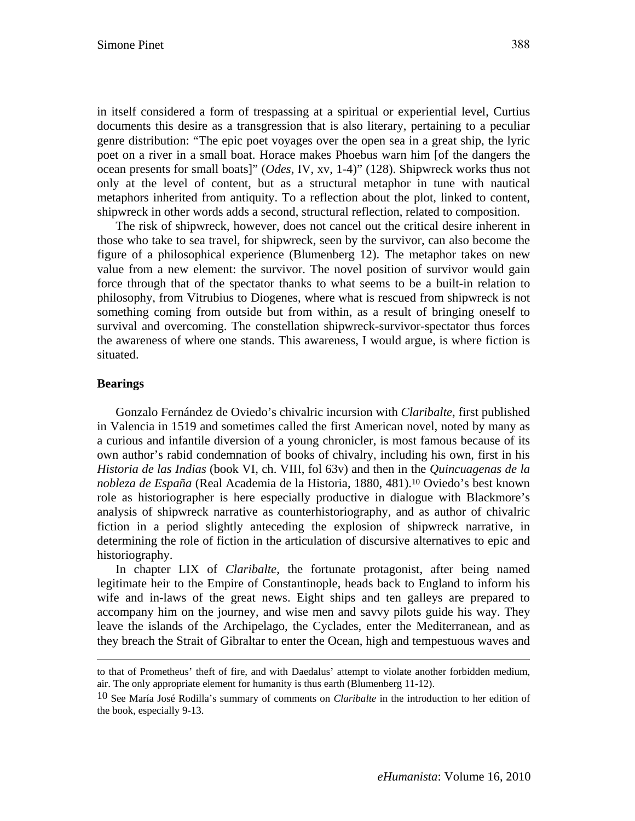in itself considered a form of trespassing at a spiritual or experiential level, Curtius documents this desire as a transgression that is also literary, pertaining to a peculiar genre distribution: "The epic poet voyages over the open sea in a great ship, the lyric poet on a river in a small boat. Horace makes Phoebus warn him [of the dangers the ocean presents for small boats]" (*Odes*, IV, xv, 1-4)" (128). Shipwreck works thus not only at the level of content, but as a structural metaphor in tune with nautical metaphors inherited from antiquity. To a reflection about the plot, linked to content, shipwreck in other words adds a second, structural reflection, related to composition.

The risk of shipwreck, however, does not cancel out the critical desire inherent in those who take to sea travel, for shipwreck, seen by the survivor, can also become the figure of a philosophical experience (Blumenberg 12). The metaphor takes on new value from a new element: the survivor. The novel position of survivor would gain force through that of the spectator thanks to what seems to be a built-in relation to philosophy, from Vitrubius to Diogenes, where what is rescued from shipwreck is not something coming from outside but from within, as a result of bringing oneself to survival and overcoming. The constellation shipwreck-survivor-spectator thus forces the awareness of where one stands. This awareness, I would argue, is where fiction is situated.

#### **Bearings**

 $\overline{a}$ 

Gonzalo Fernández de Oviedo's chivalric incursion with *Claribalte*, first published in Valencia in 1519 and sometimes called the first American novel, noted by many as a curious and infantile diversion of a young chronicler, is most famous because of its own author's rabid condemnation of books of chivalry, including his own, first in his *Historia de las Indias* (book VI, ch. VIII, fol 63v) and then in the *Quincuagenas de la nobleza de España* (Real Academia de la Historia, 1880, 481).10 Oviedo's best known role as historiographer is here especially productive in dialogue with Blackmore's analysis of shipwreck narrative as counterhistoriography, and as author of chivalric fiction in a period slightly anteceding the explosion of shipwreck narrative, in determining the role of fiction in the articulation of discursive alternatives to epic and historiography.

In chapter LIX of *Claribalte*, the fortunate protagonist, after being named legitimate heir to the Empire of Constantinople, heads back to England to inform his wife and in-laws of the great news. Eight ships and ten galleys are prepared to accompany him on the journey, and wise men and savvy pilots guide his way. They leave the islands of the Archipelago, the Cyclades, enter the Mediterranean, and as they breach the Strait of Gibraltar to enter the Ocean, high and tempestuous waves and

to that of Prometheus' theft of fire, and with Daedalus' attempt to violate another forbidden medium, air. The only appropriate element for humanity is thus earth (Blumenberg 11-12).

<sup>10</sup> See María José Rodilla's summary of comments on *Claribalte* in the introduction to her edition of the book, especially 9-13.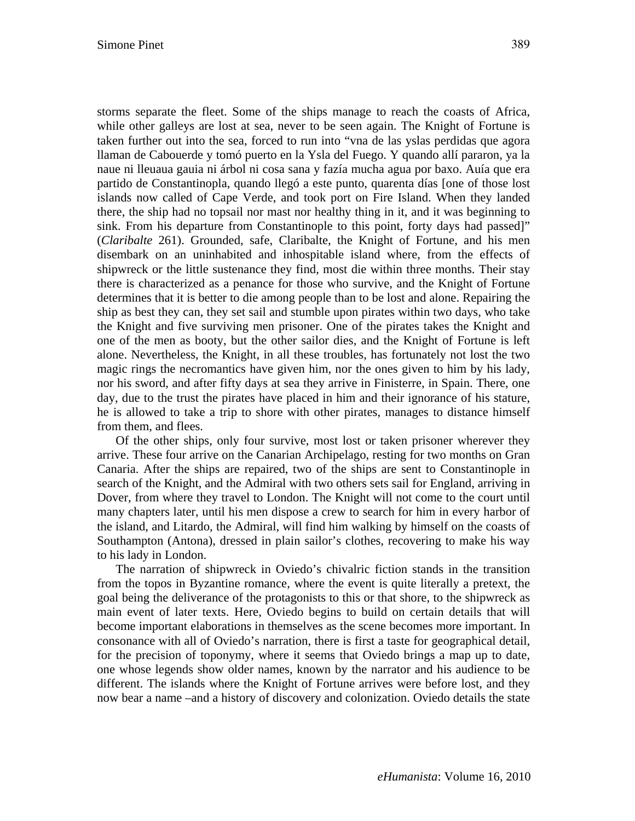storms separate the fleet. Some of the ships manage to reach the coasts of Africa, while other galleys are lost at sea, never to be seen again. The Knight of Fortune is taken further out into the sea, forced to run into "vna de las yslas perdidas que agora llaman de Cabouerde y tomó puerto en la Ysla del Fuego. Y quando allí pararon, ya la naue ni lleuaua gauia ni árbol ni cosa sana y fazía mucha agua por baxo. Auía que era partido de Constantinopla, quando llegó a este punto, quarenta días [one of those lost islands now called of Cape Verde, and took port on Fire Island. When they landed there, the ship had no topsail nor mast nor healthy thing in it, and it was beginning to sink. From his departure from Constantinople to this point, forty days had passed]" (*Claribalte* 261). Grounded, safe, Claribalte, the Knight of Fortune, and his men disembark on an uninhabited and inhospitable island where, from the effects of shipwreck or the little sustenance they find, most die within three months. Their stay there is characterized as a penance for those who survive, and the Knight of Fortune determines that it is better to die among people than to be lost and alone. Repairing the ship as best they can, they set sail and stumble upon pirates within two days, who take the Knight and five surviving men prisoner. One of the pirates takes the Knight and one of the men as booty, but the other sailor dies, and the Knight of Fortune is left alone. Nevertheless, the Knight, in all these troubles, has fortunately not lost the two magic rings the necromantics have given him, nor the ones given to him by his lady, nor his sword, and after fifty days at sea they arrive in Finisterre, in Spain. There, one day, due to the trust the pirates have placed in him and their ignorance of his stature, he is allowed to take a trip to shore with other pirates, manages to distance himself from them, and flees.

Of the other ships, only four survive, most lost or taken prisoner wherever they arrive. These four arrive on the Canarian Archipelago, resting for two months on Gran Canaria. After the ships are repaired, two of the ships are sent to Constantinople in search of the Knight, and the Admiral with two others sets sail for England, arriving in Dover, from where they travel to London. The Knight will not come to the court until many chapters later, until his men dispose a crew to search for him in every harbor of the island, and Litardo, the Admiral, will find him walking by himself on the coasts of Southampton (Antona), dressed in plain sailor's clothes, recovering to make his way to his lady in London.

The narration of shipwreck in Oviedo's chivalric fiction stands in the transition from the topos in Byzantine romance, where the event is quite literally a pretext, the goal being the deliverance of the protagonists to this or that shore, to the shipwreck as main event of later texts. Here, Oviedo begins to build on certain details that will become important elaborations in themselves as the scene becomes more important. In consonance with all of Oviedo's narration, there is first a taste for geographical detail, for the precision of toponymy, where it seems that Oviedo brings a map up to date, one whose legends show older names, known by the narrator and his audience to be different. The islands where the Knight of Fortune arrives were before lost, and they now bear a name –and a history of discovery and colonization. Oviedo details the state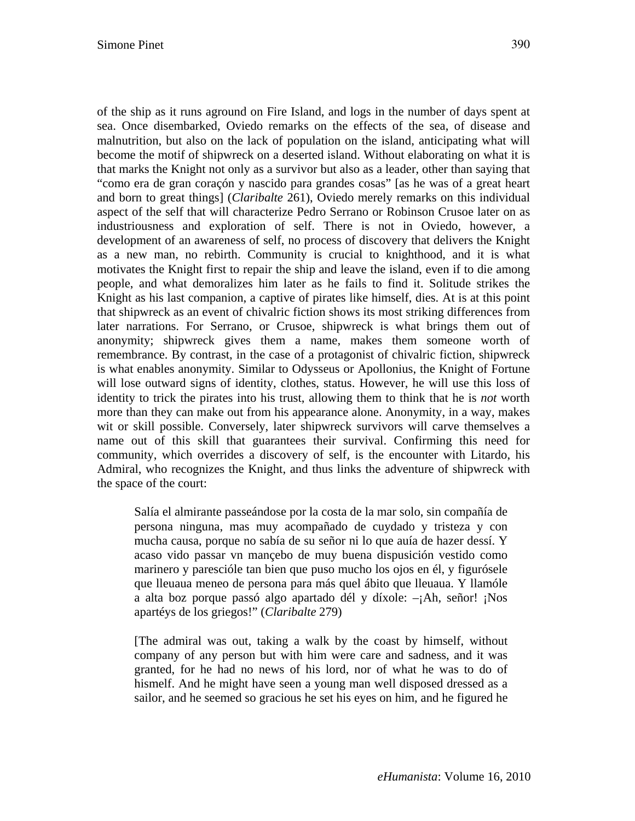of the ship as it runs aground on Fire Island, and logs in the number of days spent at sea. Once disembarked, Oviedo remarks on the effects of the sea, of disease and malnutrition, but also on the lack of population on the island, anticipating what will become the motif of shipwreck on a deserted island. Without elaborating on what it is that marks the Knight not only as a survivor but also as a leader, other than saying that "como era de gran coraçón y nascido para grandes cosas" [as he was of a great heart and born to great things] (*Claribalte* 261), Oviedo merely remarks on this individual aspect of the self that will characterize Pedro Serrano or Robinson Crusoe later on as industriousness and exploration of self. There is not in Oviedo, however, a development of an awareness of self, no process of discovery that delivers the Knight as a new man, no rebirth. Community is crucial to knighthood, and it is what motivates the Knight first to repair the ship and leave the island, even if to die among people, and what demoralizes him later as he fails to find it. Solitude strikes the Knight as his last companion, a captive of pirates like himself, dies. At is at this point that shipwreck as an event of chivalric fiction shows its most striking differences from later narrations. For Serrano, or Crusoe, shipwreck is what brings them out of anonymity; shipwreck gives them a name, makes them someone worth of remembrance. By contrast, in the case of a protagonist of chivalric fiction, shipwreck is what enables anonymity. Similar to Odysseus or Apollonius, the Knight of Fortune will lose outward signs of identity, clothes, status. However, he will use this loss of identity to trick the pirates into his trust, allowing them to think that he is *not* worth more than they can make out from his appearance alone. Anonymity, in a way, makes wit or skill possible. Conversely, later shipwreck survivors will carve themselves a name out of this skill that guarantees their survival. Confirming this need for community, which overrides a discovery of self, is the encounter with Litardo, his Admiral, who recognizes the Knight, and thus links the adventure of shipwreck with the space of the court:

Salía el almirante passeándose por la costa de la mar solo, sin compañía de persona ninguna, mas muy acompañado de cuydado y tristeza y con mucha causa, porque no sabía de su señor ni lo que auía de hazer dessí. Y acaso vido passar vn mançebo de muy buena dispusición vestido como marinero y parescióle tan bien que puso mucho los ojos en él, y figurósele que lleuaua meneo de persona para más quel ábito que lleuaua. Y llamóle a alta boz porque passó algo apartado dél y díxole: –¡Ah, señor! ¡Nos apartéys de los griegos!" (*Claribalte* 279)

[The admiral was out, taking a walk by the coast by himself, without company of any person but with him were care and sadness, and it was granted, for he had no news of his lord, nor of what he was to do of hismelf. And he might have seen a young man well disposed dressed as a sailor, and he seemed so gracious he set his eyes on him, and he figured he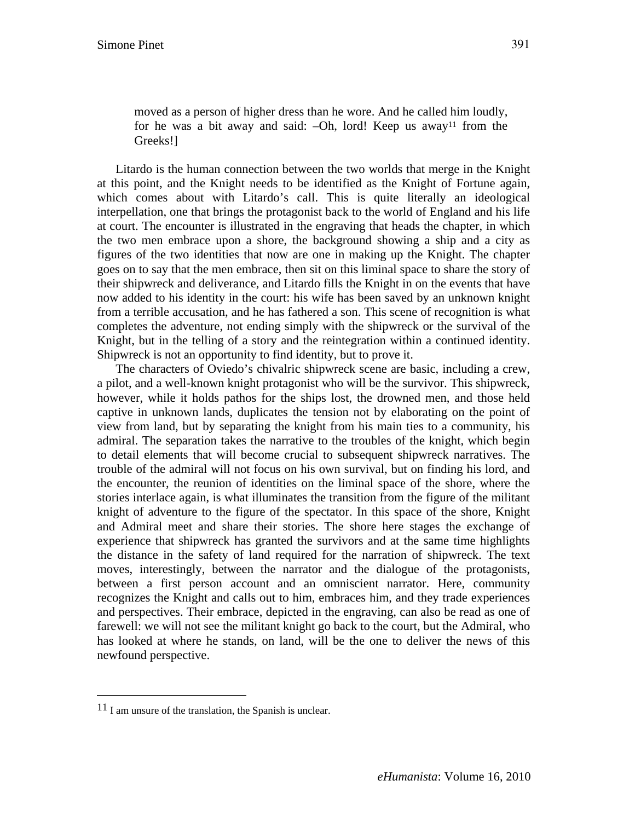Greeks!]

Litardo is the human connection between the two worlds that merge in the Knight at this point, and the Knight needs to be identified as the Knight of Fortune again, which comes about with Litardo's call. This is quite literally an ideological interpellation, one that brings the protagonist back to the world of England and his life at court. The encounter is illustrated in the engraving that heads the chapter, in which the two men embrace upon a shore, the background showing a ship and a city as figures of the two identities that now are one in making up the Knight. The chapter goes on to say that the men embrace, then sit on this liminal space to share the story of their shipwreck and deliverance, and Litardo fills the Knight in on the events that have now added to his identity in the court: his wife has been saved by an unknown knight from a terrible accusation, and he has fathered a son. This scene of recognition is what completes the adventure, not ending simply with the shipwreck or the survival of the Knight, but in the telling of a story and the reintegration within a continued identity. Shipwreck is not an opportunity to find identity, but to prove it.

The characters of Oviedo's chivalric shipwreck scene are basic, including a crew, a pilot, and a well-known knight protagonist who will be the survivor. This shipwreck, however, while it holds pathos for the ships lost, the drowned men, and those held captive in unknown lands, duplicates the tension not by elaborating on the point of view from land, but by separating the knight from his main ties to a community, his admiral. The separation takes the narrative to the troubles of the knight, which begin to detail elements that will become crucial to subsequent shipwreck narratives. The trouble of the admiral will not focus on his own survival, but on finding his lord, and the encounter, the reunion of identities on the liminal space of the shore, where the stories interlace again, is what illuminates the transition from the figure of the militant knight of adventure to the figure of the spectator. In this space of the shore, Knight and Admiral meet and share their stories. The shore here stages the exchange of experience that shipwreck has granted the survivors and at the same time highlights the distance in the safety of land required for the narration of shipwreck. The text moves, interestingly, between the narrator and the dialogue of the protagonists, between a first person account and an omniscient narrator. Here, community recognizes the Knight and calls out to him, embraces him, and they trade experiences and perspectives. Their embrace, depicted in the engraving, can also be read as one of farewell: we will not see the militant knight go back to the court, but the Admiral, who has looked at where he stands, on land, will be the one to deliver the news of this newfound perspective.

 $\overline{a}$ 

<sup>11</sup> I am unsure of the translation, the Spanish is unclear.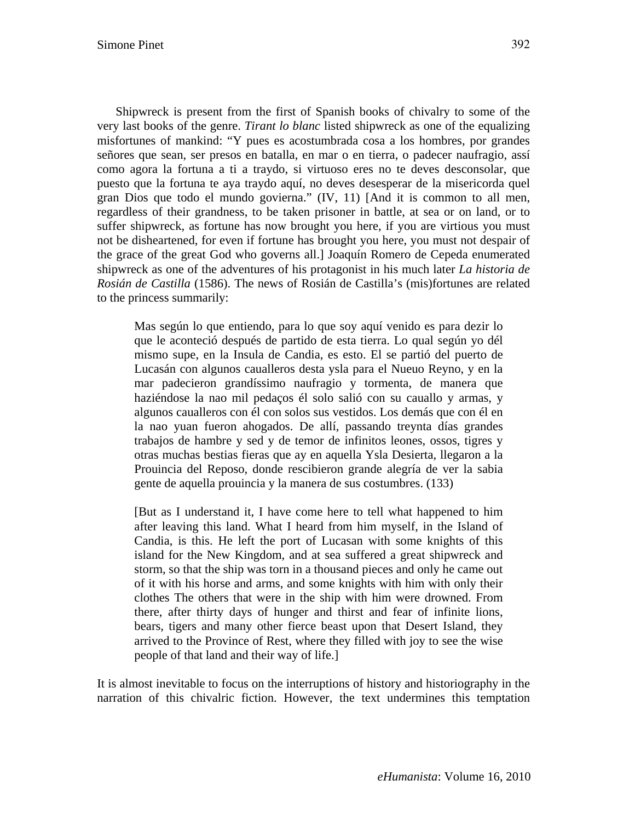Shipwreck is present from the first of Spanish books of chivalry to some of the very last books of the genre. *Tirant lo blanc* listed shipwreck as one of the equalizing misfortunes of mankind: "Y pues es acostumbrada cosa a los hombres, por grandes señores que sean, ser presos en batalla, en mar o en tierra, o padecer naufragio, assí como agora la fortuna a ti a traydo, si virtuoso eres no te deves desconsolar, que puesto que la fortuna te aya traydo aquí, no deves desesperar de la misericorda quel gran Dios que todo el mundo govierna." (IV, 11) [And it is common to all men, regardless of their grandness, to be taken prisoner in battle, at sea or on land, or to suffer shipwreck, as fortune has now brought you here, if you are virtious you must not be disheartened, for even if fortune has brought you here, you must not despair of the grace of the great God who governs all.] Joaquín Romero de Cepeda enumerated shipwreck as one of the adventures of his protagonist in his much later *La historia de Rosián de Castilla* (1586). The news of Rosián de Castilla's (mis)fortunes are related to the princess summarily:

Mas según lo que entiendo, para lo que soy aquí venido es para dezir lo que le aconteció después de partido de esta tierra. Lo qual según yo dél mismo supe, en la Insula de Candia, es esto. El se partió del puerto de Lucasán con algunos caualleros desta ysla para el Nueuo Reyno, y en la mar padecieron grandíssimo naufragio y tormenta, de manera que haziéndose la nao mil pedaços él solo salió con su cauallo y armas, y algunos caualleros con él con solos sus vestidos. Los demás que con él en la nao yuan fueron ahogados. De allí, passando treynta días grandes trabajos de hambre y sed y de temor de infinitos leones, ossos, tigres y otras muchas bestias fieras que ay en aquella Ysla Desierta, llegaron a la Prouincia del Reposo, donde rescibieron grande alegría de ver la sabia gente de aquella prouincia y la manera de sus costumbres. (133)

[But as I understand it, I have come here to tell what happened to him after leaving this land. What I heard from him myself, in the Island of Candia, is this. He left the port of Lucasan with some knights of this island for the New Kingdom, and at sea suffered a great shipwreck and storm, so that the ship was torn in a thousand pieces and only he came out of it with his horse and arms, and some knights with him with only their clothes The others that were in the ship with him were drowned. From there, after thirty days of hunger and thirst and fear of infinite lions, bears, tigers and many other fierce beast upon that Desert Island, they arrived to the Province of Rest, where they filled with joy to see the wise people of that land and their way of life.]

It is almost inevitable to focus on the interruptions of history and historiography in the narration of this chivalric fiction. However, the text undermines this temptation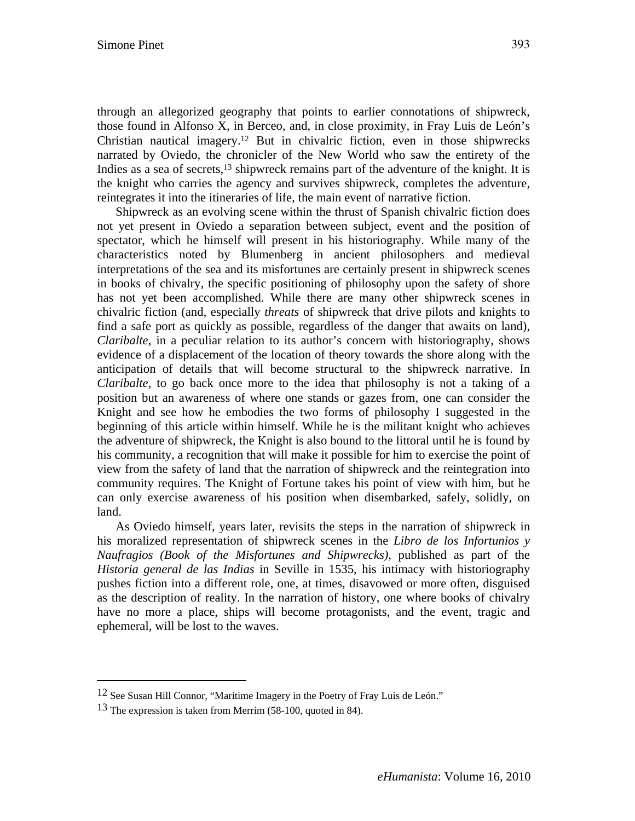through an allegorized geography that points to earlier connotations of shipwreck, those found in Alfonso X, in Berceo, and, in close proximity, in Fray Luis de León's Christian nautical imagery.12 But in chivalric fiction, even in those shipwrecks narrated by Oviedo, the chronicler of the New World who saw the entirety of the Indies as a sea of secrets, $13$  shipwreck remains part of the adventure of the knight. It is the knight who carries the agency and survives shipwreck, completes the adventure, reintegrates it into the itineraries of life, the main event of narrative fiction.

Shipwreck as an evolving scene within the thrust of Spanish chivalric fiction does not yet present in Oviedo a separation between subject, event and the position of spectator, which he himself will present in his historiography. While many of the characteristics noted by Blumenberg in ancient philosophers and medieval interpretations of the sea and its misfortunes are certainly present in shipwreck scenes in books of chivalry, the specific positioning of philosophy upon the safety of shore has not yet been accomplished. While there are many other shipwreck scenes in chivalric fiction (and, especially *threats* of shipwreck that drive pilots and knights to find a safe port as quickly as possible, regardless of the danger that awaits on land), *Claribalte*, in a peculiar relation to its author's concern with historiography, shows evidence of a displacement of the location of theory towards the shore along with the anticipation of details that will become structural to the shipwreck narrative. In *Claribalte*, to go back once more to the idea that philosophy is not a taking of a position but an awareness of where one stands or gazes from, one can consider the Knight and see how he embodies the two forms of philosophy I suggested in the beginning of this article within himself. While he is the militant knight who achieves the adventure of shipwreck, the Knight is also bound to the littoral until he is found by his community, a recognition that will make it possible for him to exercise the point of view from the safety of land that the narration of shipwreck and the reintegration into community requires. The Knight of Fortune takes his point of view with him, but he can only exercise awareness of his position when disembarked, safely, solidly, on land.

As Oviedo himself, years later, revisits the steps in the narration of shipwreck in his moralized representation of shipwreck scenes in the *Libro de los Infortunios y Naufragios (Book of the Misfortunes and Shipwrecks)*, published as part of the *Historia general de las Indias* in Seville in 1535, his intimacy with historiography pushes fiction into a different role, one, at times, disavowed or more often, disguised as the description of reality. In the narration of history, one where books of chivalry have no more a place, ships will become protagonists, and the event, tragic and ephemeral, will be lost to the waves.

 $\overline{a}$ 

<sup>12</sup> See Susan Hill Connor, "Maritime Imagery in the Poetry of Fray Luis de León."

<sup>13</sup> The expression is taken from Merrim (58-100, quoted in 84).